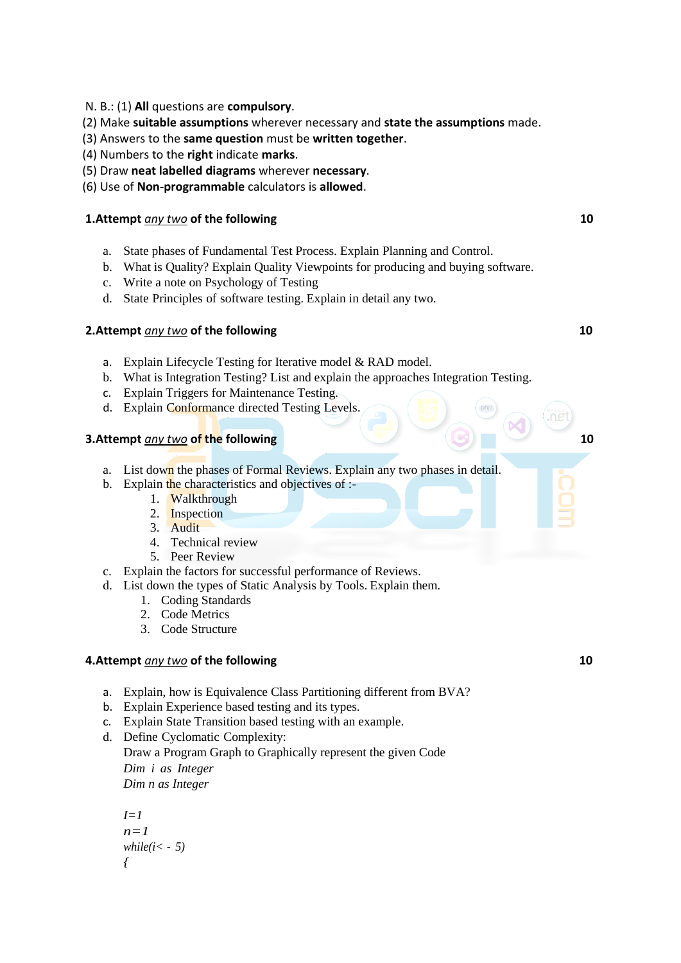- N. B.: (1) **All** questions are **compulsory**.
- (2) Make **suitable assumptions** wherever necessary and **state the assumptions** made.
- (3) Answers to the **same question** must be **written together**.
- (4) Numbers to the **right** indicate **marks**.
- (5) Draw **neat labelled diagrams** wherever **necessary**.
- (6) Use of **Non-programmable** calculators is **allowed**.

## **1.Attempt** *any two* of the following 10

- a. State phases of Fundamental Test Process. Explain Planning and Control.
- b. What is Quality? Explain Quality Viewpoints for producing and buying software.
- c. Write a note on Psychology of Testing
- d. State Principles of software testing. Explain in detail any two.

# **2.Attempt** *any two* of the following 10

- a. Explain Lifecycle Testing for Iterative model & RAD model.
- b. What is Integration Testing? List and explain the approaches Integration Testing.
- c. Explain Triggers for Maintenance Testing.
- d. Explain Conformance directed Testing Levels.

# **3.Attempt** *any two* **of the following 10 and 10 and 10 and 10 and 10 and 10 and 10 and 10 and 10 and 10 and 10 and 10 and 10 and 10 and 10 and 10 and 10 and 10 and 10 and 10 and 10 and 10 and 10 and 10 and 10 and 10 and 10**

- a. List down the phases of Formal Reviews. Explain any two phases in detail.
- b. Explain the characteristics and objectives of :-
	- 1. Walkthrough
	- 2. Inspection
	- 3. Audit
	- 4. Technical review
	- 5. Peer Review
- c. Explain the factors for successful performance of Reviews.
- d. List down the types of Static Analysis by Tools. Explain them.
	- 1. Coding Standards
	- 2. Code Metrics
	- 3. Code Structure

## **4.Attempt** *any two* **of the following 10**

- a. Explain, how is Equivalence Class Partitioning different from BVA?
- b. Explain Experience based testing and its types.
- c. Explain State Transition based testing with an example.
- d. Define Cyclomatic Complexity: Draw a Program Graph to Graphically represent the given Code *Dim i as Integer Dim n as Integer*

*I=1 n=1 while(i< - 5) {*